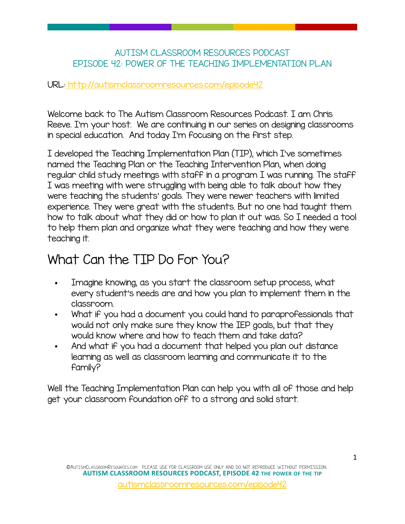#### AUTISM CLASSROOM RESOURCES PODCAST EPISODE 42: POWER OF THE TEACHING IMPLEMENTATION PLAN

#### URL[: http://autismclassroomresources.com/episode42](http://autismclassroomresources.com/episode42)

Welcome back to The Autism Classroom Resources Podcast. I am Chris Reeve. I'm your host. We are continuing in our series on designing classrooms in special education. And today I'm focusing on the first step.

I developed the Teaching Implementation Plan (TIP), which I've sometimes named the Teaching Plan or the Teaching Intervention Plan, when doing regular child study meetings with staff in a program I was running. The staff I was meeting with were struggling with being able to talk about how they were teaching the students' goals. They were newer teachers with limited experience. They were great with the students. But no one had taught them how to talk about what they did or how to plan it out was. So I needed a tool to help them plan and organize what they were teaching and how they were teaching it.

### What Can the TIP Do For You?

- Imagine knowing, as you start the classroom setup process, what every student's needs are and how you plan to implement them in the classroom.
- What if you had a document you could hand to paraprofessionals that would not only make sure they know the IEP goals, but that they would know where and how to teach them and take data?
- And what if you had a document that helped you plan out distance learning as well as classroom learning and communicate it to the family?

Well the Teaching Implementation Plan can help you with all of those and help get your classroom foundation off to a strong and solid start.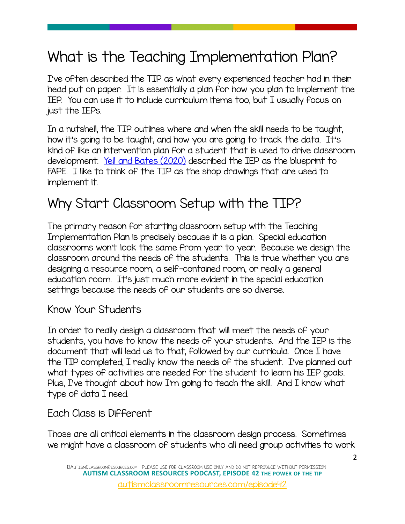# What is the Teaching Implementation Plan?

I've often described the TIP as what every experienced teacher had in their head put on paper. It is essentially a plan for how you plan to implement the IEP. You can use it to include curriculum items too, but I usually focus on just the IEPs.

In a nutshell, the TIP outlines where and when the skill needs to be taught, how it's going to be taught, and how you are going to track the data. It's kind of like an intervention plan for a student that is used to drive classroom development. [Yell and Bates \(2020\)](https://journals.sagepub.com/doi/full/10.1177/0040059920914259) described the IEP as the blueprint to FAPE. I like to think of the TIP as the shop drawings that are used to implement it.

## Why Start Classroom Setup with the TIP?

The primary reason for starting classroom setup with the Teaching Implementation Plan is precisely because it is a plan. Special education classrooms won't look the same from year to year. Because we design the classroom around the needs of the students. This is true whether you are designing a resource room, a self-contained room, or really a general education room. It's just much more evident in the special education settings because the needs of our students are so diverse.

#### Know Your Students

In order to really design a classroom that will meet the needs of your students, you have to know the needs of your students. And the IEP is the document that will lead us to that, followed by our curricula. Once I have the TIP completed, I really know the needs of the student. I've planned out what types of activities are needed for the student to learn his IEP goals. Plus, I've thought about how I'm going to teach the skill. And I know what type of data I need.

#### Each Class is Different

Those are all critical elements in the classroom design process. Sometimes we might have a classroom of students who all need group activities to work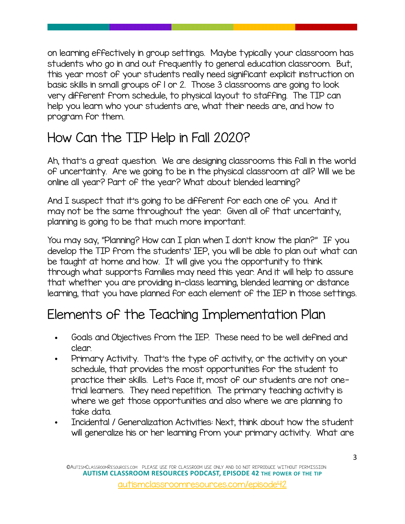on learning effectively in group settings. Maybe typically your classroom has students who go in and out frequently to general education classroom. But, this year most of your students really need significant explicit instruction on basic skills in small groups of 1 or 2. Those 3 classrooms are going to look very different from schedule, to physical layout to staffing. The TIP can help you learn who your students are, what their needs are, and how to program for them.

# How Can the TIP Help in Fall 2020?

Ah, that's a great question. We are designing classrooms this fall in the world of uncertainty. Are we going to be in the physical classroom at all? Will we be online all year? Part of the year? What about blended learning?

And I suspect that it's going to be different for each one of you. And it may not be the same throughout the year. Given all of that uncertainty, planning is going to be that much more important.

You may say, "Planning? How can I plan when I don't know the plan?" If you develop the TIP from the students' IEP, you will be able to plan out what can be taught at home and how. It will give you the opportunity to think through what supports families may need this year. And it will help to assure that whether you are providing in-class learning, blended learning or distance learning, that you have planned for each element of the IEP in those settings.

# Elements of the Teaching Implementation Plan

- **•** Goals and Objectives from the IEP. These need to be well defined and clear.
- **•** Primary Activity. That's the type of activity, or the activity on your schedule, that provides the most opportunities for the student to practice their skills. Let's face it, most of our students are not onetrial learners. They need repetition. The primary teaching activity is where we get those opportunities and also where we are planning to take data.
- **•** Incidental / Generalization Activities: Next, think about how the student will generalize his or her learning from your primary activity. What are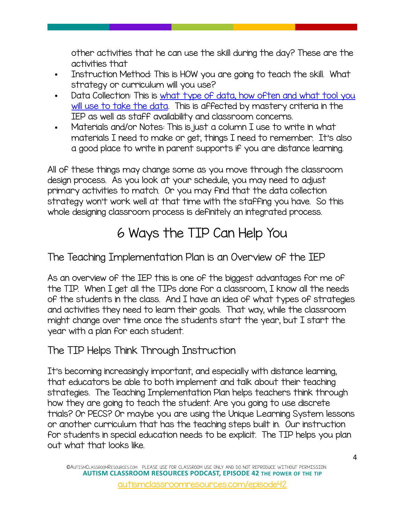other activities that he can use the skill during the day? These are the activities that

- **•** Instruction Method: This is HOW you are going to teach the skill. What strategy or curriculum will you use?
- **•** Data Collection: This is [what type of data, how often and what tool you](https://library.autismclassroomresources.com/taming-the-data-monster-webinar-landing/)  will use to take the data. This is affected by mastery criteria in the IEP as well as staff availability and classroom concerns.
- **•** Materials and/or Notes: This is just a column I use to write in what materials I need to make or get, things I need to remember. It's also a good place to write in parent supports if you are distance learning.

All of these things may change some as you move through the classroom design process. As you look at your schedule, you may need to adjust primary activities to match. Or you may find that the data collection strategy won't work well at that time with the staffing you have. So this whole designing classroom process is definitely an integrated process.

# 6 Ways the TIP Can Help You

The Teaching Implementation Plan is an Overview of the IEP

As an overview of the IEP this is one of the biggest advantages for me of the TIP. When I get all the TIPs done for a classroom, I know all the needs of the students in the class. And I have an idea of what types of strategies and activities they need to learn their goals. That way, while the classroom might change over time once the students start the year, but I start the year with a plan for each student.

### The TIP Helps Think Through Instruction

It's becoming increasingly important, and especially with distance learning, that educators be able to both implement and talk about their teaching strategies. The Teaching Implementation Plan helps teachers think through how they are going to teach the student. Are you going to use discrete trials? Or PECS? Or maybe you are using the Unique Learning System lessons or another curriculum that has the teaching steps built in. Our instruction for students in special education needs to be explicit. The TIP helps you plan out what that looks like.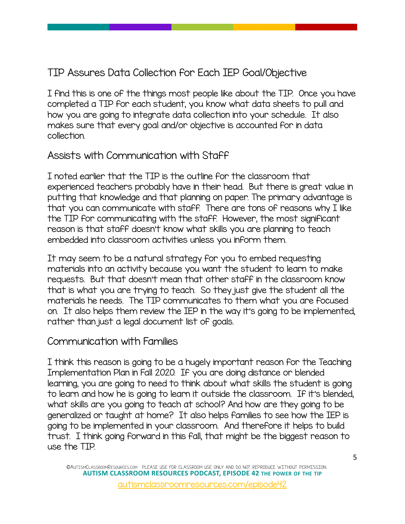### TIP Assures Data Collection for Each IEP Goal/Objective

I find this is one of the things most people like about the TIP. Once you have completed a TIP for each student, you know what data sheets to pull and how you are going to integrate data collection into your schedule. It also makes sure that every goal and/or objective is accounted for in data collection.

### Assists with Communication with Staff

I noted earlier that the TIP is the outline for the classroom that experienced teachers probably have in their head. But there is great value in putting that knowledge and that planning on paper. The primary advantage is that you can communicate with staff. There are tons of reasons why I like the TIP for communicating with the staff. However, the most significant reason is that staff doesn't know what skills you are planning to teach embedded into classroom activities unless you inform them.

It may seem to be a natural strategy for you to embed requesting materials into an activity because you want the student to learn to make requests. But that doesn't mean that other staff in the classroom know that is what you are trying to teach. So they just give the student all the materials he needs. The TIP communicates to them what you are focused on. It also helps them review the IEP in the way it's going to be implemented, rather than just a legal document list of goals.

#### Communication with Families

I think this reason is going to be a hugely important reason for the Teaching Implementation Plan in Fall 2020. If you are doing distance or blended learning, you are going to need to think about what skills the student is going to learn and how he is going to learn it outside the classroom. If it's blended, what skills are you going to teach at school? And how are they going to be generalized or taught at home? It also helps families to see how the IEP is going to be implemented in your classroom. And therefore it helps to build trust. I think going forward in this fall, that might be the biggest reason to use the TIP.